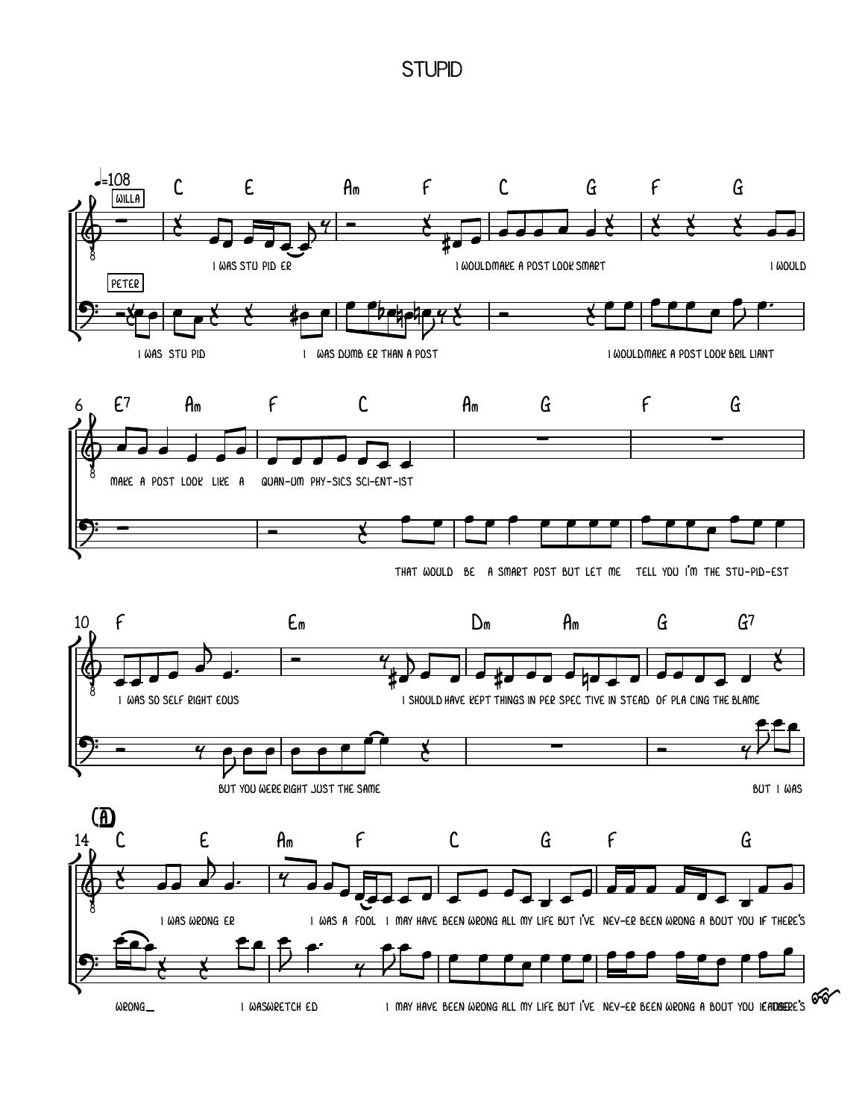## **STUPID**

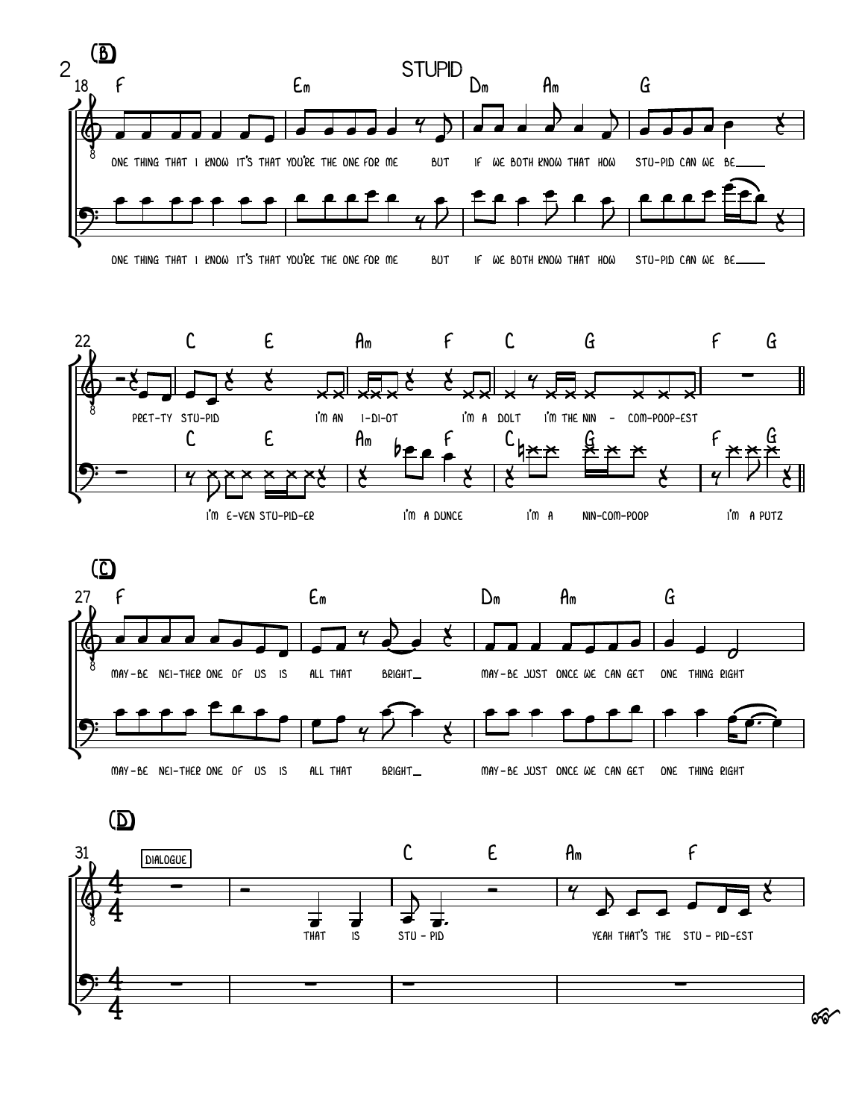